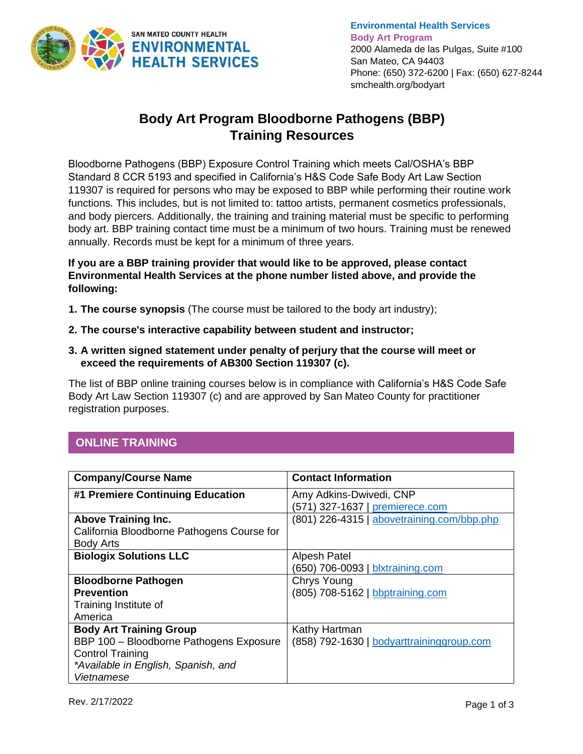

**Environmental Health Services Body Art Program** 2000 Alameda de las Pulgas, Suite #100 San Mateo, CA 94403 Phone: (650) 372-6200 | Fax: (650) 627-8244 smchealth.org/bodyart

# **Body Art Program Bloodborne Pathogens (BBP) Training Resources**

Bloodborne Pathogens (BBP) Exposure Control Training which meets Cal/OSHA's BBP Standard 8 CCR 5193 and specified in California's H&S Code Safe Body Art Law Section 119307 is required for persons who may be exposed to BBP while performing their routine work functions. This includes, but is not limited to: tattoo artists, permanent cosmetics professionals, and body piercers. Additionally, the training and training material must be specific to performing body art. BBP training contact time must be a minimum of two hours. Training must be renewed annually. Records must be kept for a minimum of three years.

**If you are a BBP training provider that would like to be approved, please contact Environmental Health Services at the phone number listed above, and provide the following:** 

- **1. The course synopsis** (The course must be tailored to the body art industry);
- **2. The course's interactive capability between student and instructor;**
- **3. A written signed statement under penalty of perjury that the course will meet or exceed the requirements of AB300 Section 119307 (c).**

The list of BBP online training courses below is in compliance with California's H&S Code Safe Body Art Law Section 119307 (c) and are approved by San Mateo County for practitioner registration purposes.

## **ONLINE TRAINING**

| <b>Company/Course Name</b>                 | <b>Contact Information</b>                 |
|--------------------------------------------|--------------------------------------------|
| #1 Premiere Continuing Education           | Amy Adkins-Dwivedi, CNP                    |
|                                            | (571) 327-1637   premierece.com            |
| <b>Above Training Inc.</b>                 | (801) 226-4315   abovetraining.com/bbp.php |
| California Bloodborne Pathogens Course for |                                            |
| <b>Body Arts</b>                           |                                            |
| <b>Biologix Solutions LLC</b>              | Alpesh Patel                               |
|                                            | (650) 706-0093   blxtraining.com           |
| <b>Bloodborne Pathogen</b>                 | Chrys Young                                |
| <b>Prevention</b>                          | (805) 708-5162   bbptraining.com           |
| Training Institute of                      |                                            |
| America                                    |                                            |
| <b>Body Art Training Group</b>             | Kathy Hartman                              |
| BBP 100 - Bloodborne Pathogens Exposure    | (858) 792-1630   bodyarttraininggroup.com  |
| <b>Control Training</b>                    |                                            |
| *Available in English, Spanish, and        |                                            |
| Vietnamese                                 |                                            |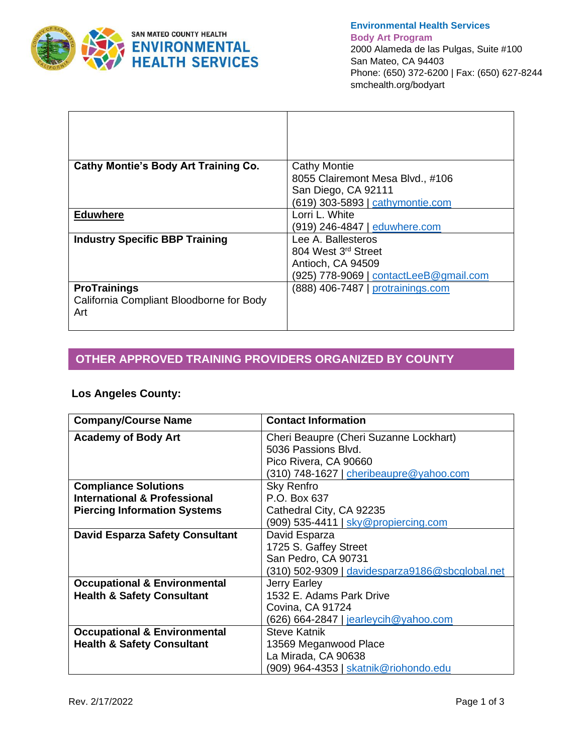

**Environmental Health Services Body Art Program** 2000 Alameda de las Pulgas, Suite #100 San Mateo, CA 94403 Phone: (650) 372-6200 | Fax: (650) 627-8244 smchealth.org/bodyart

| <b>Cathy Montie's Body Art Training Co.</b> | <b>Cathy Montie</b>                    |
|---------------------------------------------|----------------------------------------|
|                                             | 8055 Clairemont Mesa Blvd., #106       |
|                                             | San Diego, CA 92111                    |
|                                             | (619) 303-5893   cathymontie.com       |
| <b>Eduwhere</b>                             | Lorri L. White                         |
|                                             | (919) 246-4847   eduwhere.com          |
| <b>Industry Specific BBP Training</b>       | Lee A. Ballesteros                     |
|                                             | 804 West 3rd Street                    |
|                                             | Antioch, CA 94509                      |
|                                             | (925) 778-9069   contactLeeB@gmail.com |
| <b>ProTrainings</b>                         | (888) 406-7487   protrainings.com      |
| California Compliant Bloodborne for Body    |                                        |
| Art                                         |                                        |
|                                             |                                        |

# **OTHER APPROVED TRAINING PROVIDERS ORGANIZED BY COUNTY**

### **Los Angeles County:**

**COUNTY** 

| <b>Company/Course Name</b>              | <b>Contact Information</b>                      |
|-----------------------------------------|-------------------------------------------------|
| <b>Academy of Body Art</b>              | Cheri Beaupre (Cheri Suzanne Lockhart)          |
|                                         | 5036 Passions Blvd.                             |
|                                         | Pico Rivera, CA 90660                           |
|                                         | (310) 748-1627   cheribeaupre@yahoo.com         |
| <b>Compliance Solutions</b>             | Sky Renfro                                      |
| <b>International &amp; Professional</b> | P.O. Box 637                                    |
| <b>Piercing Information Systems</b>     | Cathedral City, CA 92235                        |
|                                         | (909) 535-4411   sky@propiercing.com            |
| <b>David Esparza Safety Consultant</b>  | David Esparza                                   |
|                                         | 1725 S. Gaffey Street                           |
|                                         | San Pedro, CA 90731                             |
|                                         | (310) 502-9309   davidesparza9186@sbcglobal.net |
| <b>Occupational &amp; Environmental</b> | Jerry Earley                                    |
| <b>Health &amp; Safety Consultant</b>   | 1532 E. Adams Park Drive                        |
|                                         | Covina, CA 91724                                |
|                                         | (626) 664-2847   jearleycih@yahoo.com           |
| <b>Occupational &amp; Environmental</b> | <b>Steve Katnik</b>                             |
| <b>Health &amp; Safety Consultant</b>   | 13569 Meganwood Place                           |
|                                         | La Mirada, CA 90638                             |
|                                         | (909) 964-4353   skatnik@riohondo.edu           |